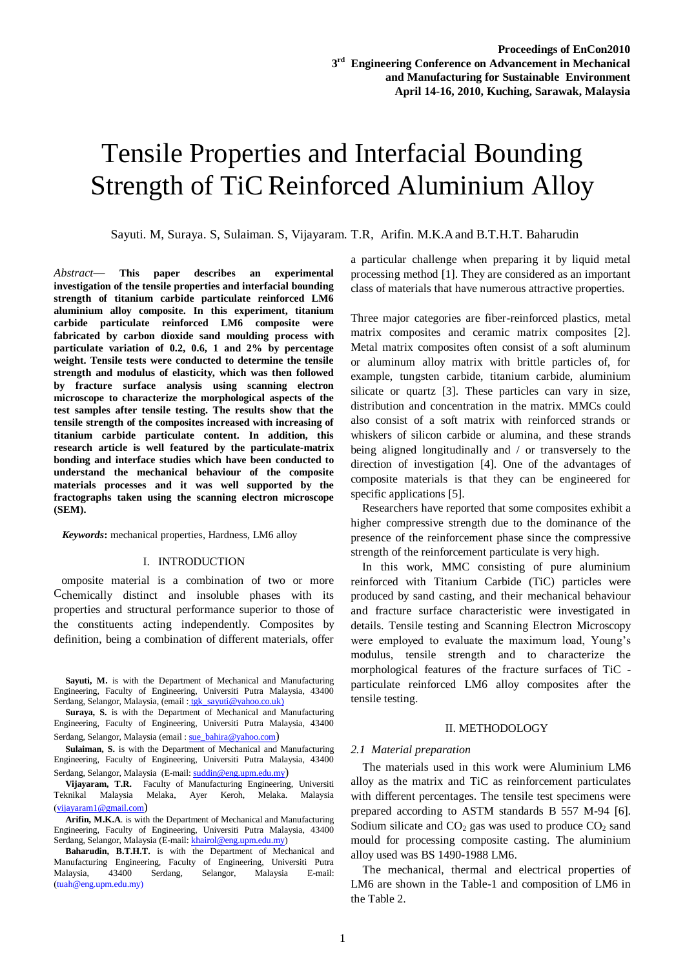# Tensile Properties and Interfacial Bounding Strength of TiC Reinforced Aluminium Alloy Sustainable Environme  $P^{\text{max}}$

Sayuti. M, Suraya. S, Sulaiman. S, Vijayaram. T.R, Arifin. M.K.Aand B.T.H.T. Baharudin

*Abstract*— **This paper describes an experimental investigation of the tensile properties and interfacial bounding strength of titanium carbide particulate reinforced LM6 aluminium alloy composite. In this experiment, titanium carbide particulate reinforced LM6 composite were fabricated by carbon dioxide sand moulding process with particulate variation of 0.2, 0.6, 1 and 2% by percentage weight. Tensile tests were conducted to determine the tensile strength and modulus of elasticity, which was then followed by fracture surface analysis using scanning electron microscope to characterize the morphological aspects of the test samples after tensile testing. The results show that the tensile strength of the composites increased with increasing of titanium carbide particulate content. In addition, this research article is well featured by the particulate-matrix bonding and interface studies which have been conducted to understand the mechanical behaviour of the composite materials processes and it was well supported by the fractographs taken using the scanning electron microscope (SEM).**

 *Keywords***:** mechanical properties, Hardness, LM6 alloy

#### I. INTRODUCTION

omposite material is a combination of two or more Cchemically distinct and insoluble phases with its properties and structural performance superior to those of the constituents acting independently. Composites by definition, being a combination of different materials, offer

**Sayuti, M.** is with the Department of Mechanical and Manufacturing Engineering, Faculty of Engineering, Universiti Putra Malaysia, 43400 Serdang, Selangor, Malaysia, (email : tgk\_sayuti@yahoo.co.uk)

**Suraya, S.** is with the Department of Mechanical and Manufacturing Engineering, Faculty of Engineering, Universiti Putra Malaysia, 43400 Serdang, Selangor, Malaysia (email [: sue\\_bahira@yahoo.com](mailto:sue_bahira@yahoo.com))

**Sulaiman, S.** is with the Department of Mechanical and Manufacturing Engineering, Faculty of Engineering, Universiti Putra Malaysia, 43400 Serdang, Selangor, Malaysia (E-mail: [suddin@eng.upm.edu.my](mailto:suddin@eng.upm.edu.my))

**Vijayaram, T.R.** Faculty of Manufacturing Engineering, Universiti Teknikal Malaysia Melaka, Ayer Keroh, Melaka. Malaysia [\(vijayaram1@gmail.com](mailto:vijayaram1@gmail.com))

**Arifin, M.K.A**. is with the Department of Mechanical and Manufacturing Engineering, Faculty of Engineering, Universiti Putra Malaysia, 43400 Serdang, Selangor, Malaysia (E-mail: [khairol@eng.upm.edu.my\)](mailto:khairol@eng.upm.edu.my)

**Baharudin, B.T.H.T.** is with the Department of Mechanical and Manufacturing Engineering, Faculty of Engineering, Universiti Putra Malaysia, 43400 Serdang, Selangor, Malaysia E-mail: (tuah@eng.upm.edu.my)

a particular challenge when preparing it by liquid metal processing method [1]. They are considered as an important class of materials that have numerous attractive properties.

Three major categories are fiber-reinforced plastics, metal matrix composites and ceramic matrix composites [2]. Metal matrix composites often consist of a soft aluminum or aluminum alloy matrix with brittle particles of, for example, tungsten carbide, titanium carbide, aluminium silicate or quartz [3]. These particles can vary in size, distribution and concentration in the matrix. MMCs could also consist of a soft matrix with reinforced strands or whiskers of silicon carbide or alumina, and these strands being aligned longitudinally and / or transversely to the direction of investigation [4]. One of the advantages of composite materials is that they can be engineered for specific applications [5].

Researchers have reported that some composites exhibit a higher compressive strength due to the dominance of the presence of the reinforcement phase since the compressive strength of the reinforcement particulate is very high.

In this work, MMC consisting of pure aluminium reinforced with Titanium Carbide (TiC) particles were produced by sand casting, and their mechanical behaviour and fracture surface characteristic were investigated in details. Tensile testing and Scanning Electron Microscopy were employed to evaluate the maximum load, Young's modulus, tensile strength and to characterize the morphological features of the fracture surfaces of TiC particulate reinforced LM6 alloy composites after the tensile testing.

# II. METHODOLOGY

# *2.1 Material preparation*

The materials used in this work were Aluminium LM6 alloy as the matrix and TiC as reinforcement particulates with different percentages. The tensile test specimens were prepared according to ASTM standards B 557 M-94 [6]. Sodium silicate and  $CO<sub>2</sub>$  gas was used to produce  $CO<sub>2</sub>$  sand mould for processing composite casting. The aluminium alloy used was BS 1490-1988 LM6.

The mechanical, thermal and electrical properties of LM6 are shown in the Table-1 and composition of LM6 in the Table 2.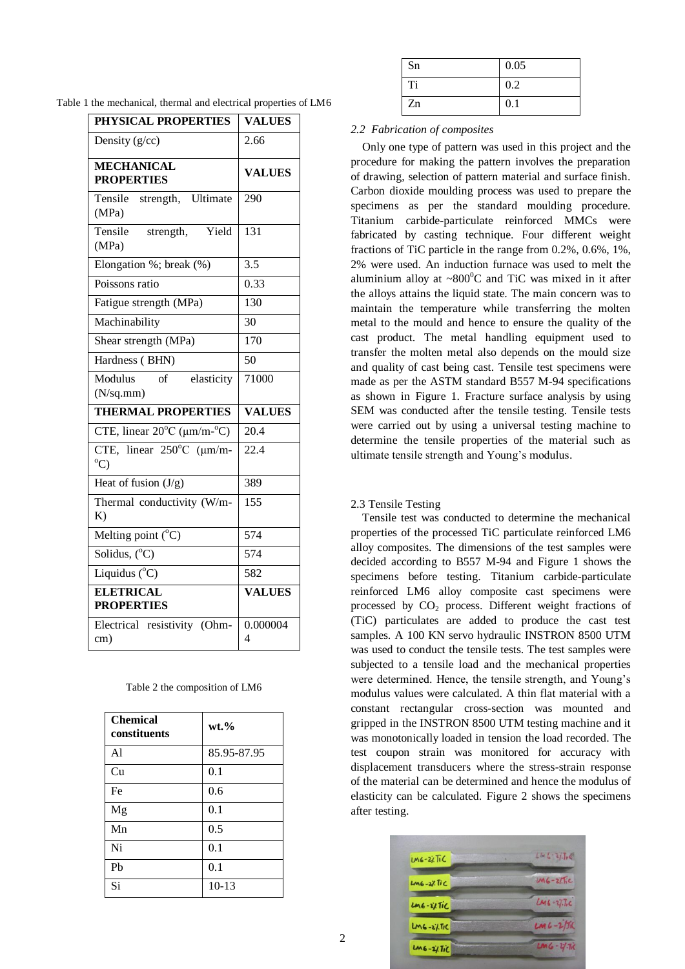|  |  | Table 1 the mechanical, thermal and electrical properties of LM6 |  |  |  |  |  |  |  |
|--|--|------------------------------------------------------------------|--|--|--|--|--|--|--|
|--|--|------------------------------------------------------------------|--|--|--|--|--|--|--|

| PHYSICAL PROPERTIES                                   | <b>VALUES</b> |  |  |
|-------------------------------------------------------|---------------|--|--|
| Density $(g/cc)$                                      | 2.66          |  |  |
| <b>MECHANICAL</b><br><b>PROPERTIES</b>                | <b>VALUES</b> |  |  |
| Tensile strength, Ultimate<br>(MPa)                   | 290           |  |  |
| Tensile<br>Yield<br>strength,<br>(MPa)                | 131           |  |  |
| Elongation %; break (%)                               | 3.5           |  |  |
| Poissons ratio                                        | 0.33          |  |  |
| Fatigue strength (MPa)                                | 130           |  |  |
| Machinability                                         | 30            |  |  |
| Shear strength (MPa)                                  | 170           |  |  |
| Hardness (BHN)                                        | 50            |  |  |
| Modulus<br>$\alpha$ f<br>elasticity<br>(N/sq.mm)      | 71000         |  |  |
| <b>THERMAL PROPERTIES</b>                             | <b>VALUES</b> |  |  |
| CTE, linear $20^{\circ}$ C ( $\mu$ m/m- $^{\circ}$ C) | 20.4          |  |  |
| CTE, linear $250^{\circ}$ C (µm/m-<br>$^{\circ}$ C)   | 22.4          |  |  |
| Heat of fusion $(J/g)$                                | 389           |  |  |
| Thermal conductivity (W/m-<br>K)                      | 155           |  |  |
| Melting point $(^{\circ}C)$                           | 574           |  |  |
| Solidus, $(^{\circ}C)$                                | 574           |  |  |
| Liquidus (°C)                                         | 582           |  |  |
| <b>ELETRICAL</b><br><b>PROPERTIES</b>                 | <b>VALUES</b> |  |  |
| Electrical resistivity (Ohm-<br>cm)                   | 0.000004<br>4 |  |  |

| Table 2 the composition of LM6 |  |  |  |  |  |  |
|--------------------------------|--|--|--|--|--|--|
|--------------------------------|--|--|--|--|--|--|

| <b>Chemical</b><br>constituents | $wt. \%$    |
|---------------------------------|-------------|
| Al                              | 85.95-87.95 |
| Cu                              | 0.1         |
| Fe                              | 0.6         |
| Mg                              | 0.1         |
| Mn                              | 0.5         |
| Ni                              | 0.1         |
| P <sub>b</sub>                  | 0.1         |
| Si                              | $10 - 13$   |

| Sn | 0.05 |
|----|------|
| Ti | 0.2  |
| Zn | 0.1  |

*2.2 Fabrication of composites*

Only one type of pattern was used in this project and the procedure for making the pattern involves the preparation of drawing, selection of pattern material and surface finish. Carbon dioxide moulding process was used to prepare the specimens as per the standard moulding procedure. Titanium carbide-particulate reinforced MMCs were fabricated by casting technique. Four different weight fractions of TiC particle in the range from 0.2%, 0.6%, 1%, 2% were used. An induction furnace was used to melt the aluminium alloy at  $\sim 800^{\circ}$ C and TiC was mixed in it after the alloys attains the liquid state. The main concern was to maintain the temperature while transferring the molten metal to the mould and hence to ensure the quality of the cast product. The metal handling equipment used to transfer the molten metal also depends on the mould size and quality of cast being cast. Tensile test specimens were made as per the ASTM standard B557 M-94 specifications as shown in Figure 1. Fracture surface analysis by using SEM was conducted after the tensile testing. Tensile tests were carried out by using a universal testing machine to determine the tensile properties of the material such as ultimate tensile strength and Young's modulus.

# 2.3 Tensile Testing

Tensile test was conducted to determine the mechanical properties of the processed TiC particulate reinforced LM6 alloy composites. The dimensions of the test samples were decided according to B557 M-94 and Figure 1 shows the specimens before testing. Titanium carbide-particulate reinforced LM6 alloy composite cast specimens were processed by  $CO<sub>2</sub>$  process. Different weight fractions of (TiC) particulates are added to produce the cast test samples. A 100 KN servo hydraulic INSTRON 8500 UTM was used to conduct the tensile tests. The test samples were subjected to a tensile load and the mechanical properties were determined. Hence, the tensile strength, and Young's modulus values were calculated. A thin flat material with a constant rectangular cross-section was mounted and gripped in the INSTRON 8500 UTM testing machine and it was monotonically loaded in tension the load recorded. The test coupon strain was monitored for accuracy with displacement transducers where the stress-strain response of the material can be determined and hence the modulus of elasticity can be calculated. Figure 2 shows the specimens after testing.

| $106 - 27$ TiC           | $L = 6 - 2/10$ |
|--------------------------|----------------|
| LM6-2% Tic               | $146 - 275c$   |
| $206 - i$ / $11C$        | $LM6 - 277c$   |
| $2015 - 27.50$           | $LM6 - 2/56$   |
| $206 - 2/$ $\text{LiCl}$ | $LM6 - 1/7K$   |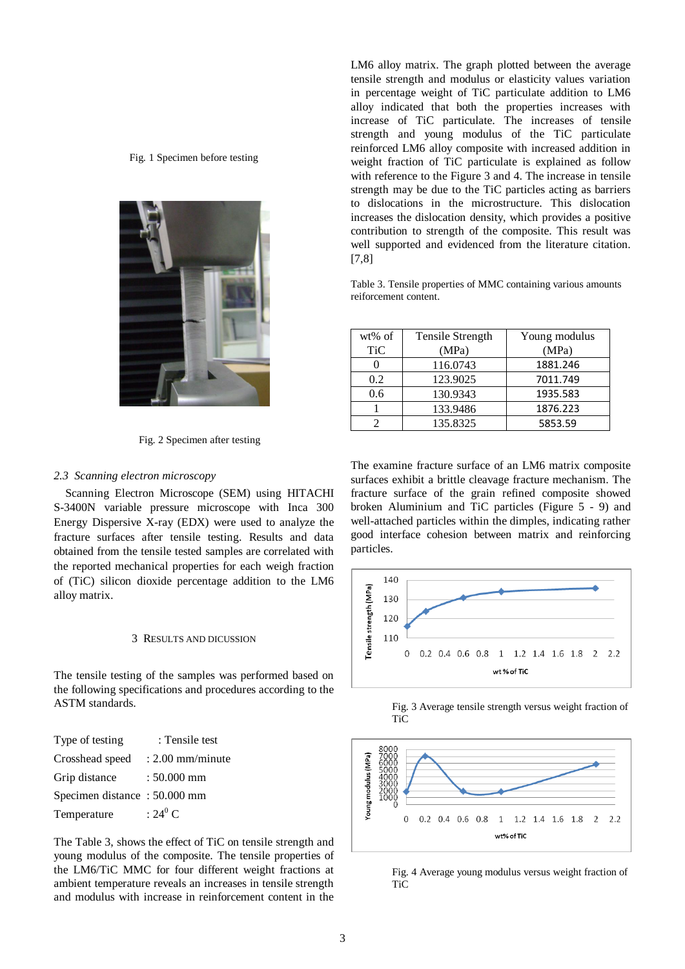Fig. 1 Specimen before testing



Fig. 2 Specimen after testing

# *2.3 Scanning electron microscopy*

Scanning Electron Microscope (SEM) using HITACHI S-3400N variable pressure microscope with Inca 300 Energy Dispersive X-ray (EDX) were used to analyze the fracture surfaces after tensile testing. Results and data obtained from the tensile tested samples are correlated with the reported mechanical properties for each weigh fraction of (TiC) silicon dioxide percentage addition to the LM6 alloy matrix.

#### 3 RESULTS AND DICUSSION

The tensile testing of the samples was performed based on the following specifications and procedures according to the ASTM standards.

| Type of testing              | : Tensile test     |
|------------------------------|--------------------|
| Crosshead speed              | $: 2.00$ mm/minute |
| Grip distance                | $: 50.000$ mm      |
| Specimen distance: 50.000 mm |                    |
| Temperature                  | $:24^0$ C          |

The Table 3, shows the effect of TiC on tensile strength and young modulus of the composite. The tensile properties of the LM6/TiC MMC for four different weight fractions at ambient temperature reveals an increases in tensile strength and modulus with increase in reinforcement content in the LM6 alloy matrix. The graph plotted between the average tensile strength and modulus or elasticity values variation in percentage weight of TiC particulate addition to LM6 alloy indicated that both the properties increases with increase of TiC particulate. The increases of tensile strength and young modulus of the TiC particulate reinforced LM6 alloy composite with increased addition in weight fraction of TiC particulate is explained as follow with reference to the Figure 3 and 4. The increase in tensile strength may be due to the TiC particles acting as barriers to dislocations in the microstructure. This dislocation increases the dislocation density, which provides a positive contribution to strength of the composite. This result was well supported and evidenced from the literature citation. [7,8]

Table 3. Tensile properties of MMC containing various amounts reiforcement content.

| wt% of     | Tensile Strength | Young modulus |
|------------|------------------|---------------|
| <b>TiC</b> | (MPa)            | (MPa)         |
|            | 116.0743         | 1881.246      |
| 0.2        | 123.9025         | 7011.749      |
| 0.6        | 130.9343         | 1935.583      |
|            | 133.9486         | 1876.223      |
|            | 135.8325         | 5853.59       |

The examine fracture surface of an LM6 matrix composite surfaces exhibit a brittle cleavage fracture mechanism. The fracture surface of the grain refined composite showed broken Aluminium and TiC particles (Figure 5 - 9) and well-attached particles within the dimples, indicating rather good interface cohesion between matrix and reinforcing particles.



Fig. 3 Average tensile strength versus weight fraction of  $TiC$ 



Fig. 4 Average young modulus versus weight fraction of **TiC**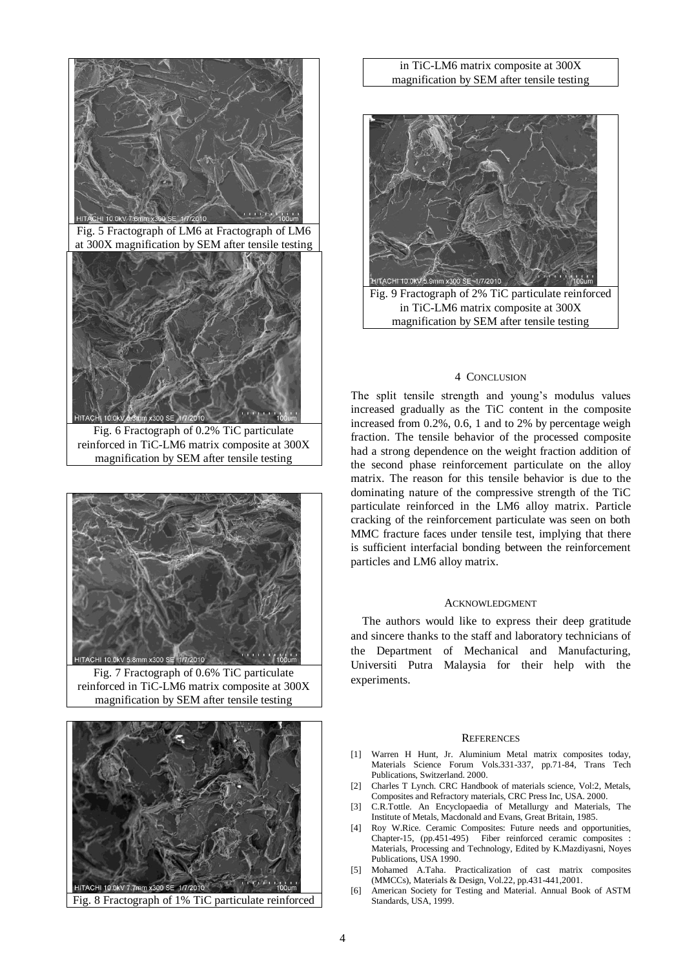

Fig. 5 Fractograph of LM6 at Fractograph of LM6 at 300X magnification by SEM after tensile testing



Fig. 6 Fractograph of 0.2% TiC particulate reinforced in TiC-LM6 matrix composite at 300X magnification by SEM after tensile testing



Fig. 7 Fractograph of 0.6% TiC particulate reinforced in TiC-LM6 matrix composite at 300X magnification by SEM after tensile testing



# Fig. 8 Fractograph of 1% TiC particulate reinforced

# in TiC-LM6 matrix composite at 300X magnification by SEM after tensile testing



#### 4 CONCLUSION

The split tensile strength and young's modulus values increased gradually as the TiC content in the composite increased from 0.2%, 0.6, 1 and to 2% by percentage weigh fraction. The tensile behavior of the processed composite had a strong dependence on the weight fraction addition of the second phase reinforcement particulate on the alloy matrix. The reason for this tensile behavior is due to the dominating nature of the compressive strength of the TiC particulate reinforced in the LM6 alloy matrix. Particle cracking of the reinforcement particulate was seen on both MMC fracture faces under tensile test, implying that there is sufficient interfacial bonding between the reinforcement particles and LM6 alloy matrix.

#### ACKNOWLEDGMENT

The authors would like to express their deep gratitude and sincere thanks to the staff and laboratory technicians of the Department of Mechanical and Manufacturing, Universiti Putra Malaysia for their help with the experiments.

### **REFERENCES**

- [1] Warren H Hunt, Jr. Aluminium Metal matrix composites today, Materials Science Forum Vols.331-337, pp.71-84, Trans Tech Publications, Switzerland. 2000.
- [2] Charles T Lynch. CRC Handbook of materials science, Vol:2, Metals, Composites and Refractory materials, CRC Press Inc, USA. 2000.
- [3] C.R.Tottle. An Encyclopaedia of Metallurgy and Materials, The Institute of Metals, Macdonald and Evans, Great Britain, 1985.
- [4] Roy W.Rice. Ceramic Composites: Future needs and opportunities, Chapter-15, (pp.451-495) Fiber reinforced ceramic composites : Materials, Processing and Technology, Edited by K.Mazdiyasni, Noyes Publications, USA 1990.
- [5] Mohamed A.Taha. Practicalization of cast matrix composites (MMCCs), Materials & Design, Vol.22, pp.431-441,2001.
- [6] American Society for Testing and Material. Annual Book of ASTM Standards, USA, 1999.